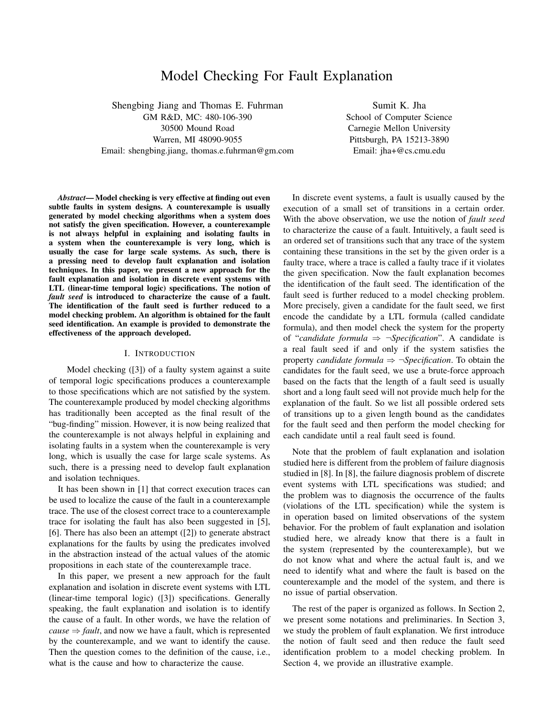# Model Checking For Fault Explanation

Shengbing Jiang and Thomas E. Fuhrman GM R&D, MC: 480-106-390 30500 Mound Road Warren, MI 48090-9055 Email: shengbing.jiang, thomas.e.fuhrman@gm.com

Sumit K. Jha School of Computer Science Carnegie Mellon University Pittsburgh, PA 15213-3890 Email: jha+@cs.cmu.edu

*Abstract***— Model checking is very effective at finding out even subtle faults in system designs. A counterexample is usually generated by model checking algorithms when a system does not satisfy the given specification. However, a counterexample is not always helpful in explaining and isolating faults in a system when the counterexample is very long, which is usually the case for large scale systems. As such, there is a pressing need to develop fault explanation and isolation techniques. In this paper, we present a new approach for the fault explanation and isolation in discrete event systems with LTL (linear-time temporal logic) specifications. The notion of** *fault seed* **is introduced to characterize the cause of a fault. The identification of the fault seed is further reduced to a model checking problem. An algorithm is obtained for the fault seed identification. An example is provided to demonstrate the effectiveness of the approach developed.**

### I. INTRODUCTION

Model checking ([3]) of a faulty system against a suite of temporal logic specifications produces a counterexample to those specifications which are not satisfied by the system. The counterexample produced by model checking algorithms has traditionally been accepted as the final result of the "bug-finding" mission. However, it is now being realized that the counterexample is not always helpful in explaining and isolating faults in a system when the counterexample is very long, which is usually the case for large scale systems. As such, there is a pressing need to develop fault explanation and isolation techniques.

It has been shown in [1] that correct execution traces can be used to localize the cause of the fault in a counterexample trace. The use of the closest correct trace to a counterexample trace for isolating the fault has also been suggested in [5], [6]. There has also been an attempt ([2]) to generate abstract explanations for the faults by using the predicates involved in the abstraction instead of the actual values of the atomic propositions in each state of the counterexample trace.

In this paper, we present a new approach for the fault explanation and isolation in discrete event systems with LTL (linear-time temporal logic) ([3]) specifications. Generally speaking, the fault explanation and isolation is to identify the cause of a fault. In other words, we have the relation of *cause*  $\Rightarrow$  *fault*, and now we have a fault, which is represented by the counterexample, and we want to identify the cause. Then the question comes to the definition of the cause, i.e., what is the cause and how to characterize the cause.

In discrete event systems, a fault is usually caused by the execution of a small set of transitions in a certain order. With the above observation, we use the notion of *fault seed* to characterize the cause of a fault. Intuitively, a fault seed is an ordered set of transitions such that any trace of the system containing these transitions in the set by the given order is a faulty trace, where a trace is called a faulty trace if it violates the given specification. Now the fault explanation becomes the identification of the fault seed. The identification of the fault seed is further reduced to a model checking problem. More precisely, given a candidate for the fault seed, we first encode the candidate by a LTL formula (called candidate formula), and then model check the system for the property of "*candidate formula* ⇒ ¬*Specification*". A candidate is a real fault seed if and only if the system satisfies the property *candidate formula* ⇒ ¬*Specification*. To obtain the candidates for the fault seed, we use a brute-force approach based on the facts that the length of a fault seed is usually short and a long fault seed will not provide much help for the explanation of the fault. So we list all possible ordered sets of transitions up to a given length bound as the candidates for the fault seed and then perform the model checking for each candidate until a real fault seed is found.

Note that the problem of fault explanation and isolation studied here is different from the problem of failure diagnosis studied in [8]. In [8], the failure diagnosis problem of discrete event systems with LTL specifications was studied; and the problem was to diagnosis the occurrence of the faults (violations of the LTL specification) while the system is in operation based on limited observations of the system behavior. For the problem of fault explanation and isolation studied here, we already know that there is a fault in the system (represented by the counterexample), but we do not know what and where the actual fault is, and we need to identify what and where the fault is based on the counterexample and the model of the system, and there is no issue of partial observation.

The rest of the paper is organized as follows. In Section 2, we present some notations and preliminaries. In Section 3, we study the problem of fault explanation. We first introduce the notion of fault seed and then reduce the fault seed identification problem to a model checking problem. In Section 4, we provide an illustrative example.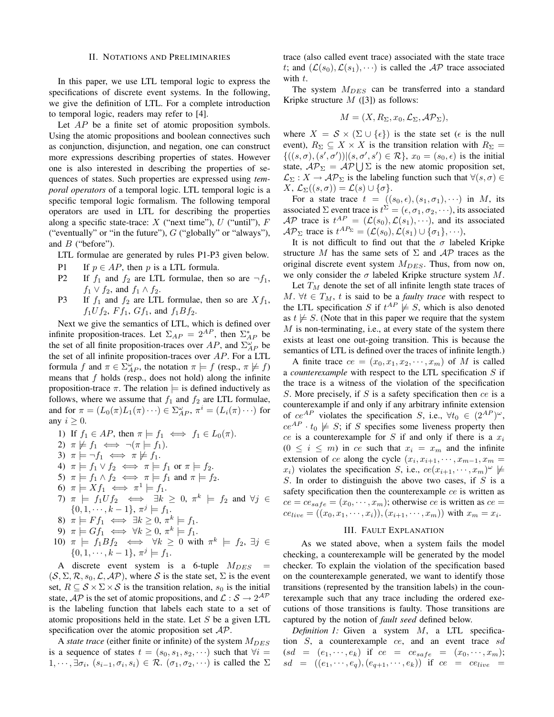#### II. NOTATIONS AND PRELIMINARIES

In this paper, we use LTL temporal logic to express the specifications of discrete event systems. In the following, we give the definition of LTL. For a complete introduction to temporal logic, readers may refer to [4].

Let AP be a finite set of atomic proposition symbols. Using the atomic propositions and boolean connectives such as conjunction, disjunction, and negation, one can construct more expressions describing properties of states. However one is also interested in describing the properties of sequences of states. Such properties are expressed using *temporal operators* of a temporal logic. LTL temporal logic is a specific temporal logic formalism. The following temporal operators are used in LTL for describing the properties along a specific state-trace:  $X$  ("next time"),  $U$  ("until"),  $F$ ("eventually" or "in the future"),  $G$  ("globally" or "always"), and  $B$  ("before").

LTL formulae are generated by rules P1-P3 given below.

- P1 If  $p \in AP$ , then p is a LTL formula.
- P2 If  $f_1$  and  $f_2$  are LTL formulae, then so are  $\neg f_1$ ,  $f_1 \vee f_2$ , and  $f_1 \wedge f_2$ .
- P3 If  $f_1$  and  $f_2$  are LTL formulae, then so are  $Xf_1$ ,  $f_1Uf_2$ ,  $Ff_1$ ,  $Gf_1$ , and  $f_1Bf_2$ .

Next we give the semantics of LTL, which is defined over infinite proposition-traces. Let  $\Sigma_{AP} = 2^{AP}$ , then  $\Sigma_{AP}^*$  be the set of all finite proposition-traces over AP, and  $\sum_{AP}^{\infty}$  be the set of all infinite proposition-traces over  $AP$ . For a LTL formula f and  $\pi \in \Sigma_{AP}^{\omega}$ , the notation  $\pi \models f$  (resp.,  $\pi \not\models f$ ) means that  $f$  holds (resp., does not hold) along the infinite proposition-trace  $\pi$ . The relation  $\models$  is defined inductively as follows, where we assume that  $f_1$  and  $f_2$  are LTL formulae, and for  $\pi = (L_0(\pi)L_1(\pi)\cdots) \in \sum_{A}^{\omega} p, \, \pi^i = (L_i(\pi)\cdots)$  for any  $i \geq 0$ .

1) If 
$$
f_1 \in AP
$$
, then  $\pi \models f_1 \iff f_1 \in L_0(\pi)$ .  
\n2)  $\pi \not\models f_1 \iff \neg(\pi \models f_1)$ .  
\n3)  $\pi \models \neg f_1 \iff \pi \not\models f_1$ .  
\n4)  $\pi \models f_1 \lor f_2 \iff \pi \models f_1$  or  $\pi \models f_2$ .  
\n5)  $\pi \models f_1 \land f_2 \iff \pi \models f_1$  and  $\pi \models f_2$ .  
\n6)  $\pi \models Xf_1 \iff \pi^1 \models f_1$ .  
\n7)  $\pi \models f_1Uf_2 \iff \exists k \ge 0, \pi^k \models f_2$  and  $\forall j \in$   
\n $\{0, 1, \dots, k-1\}, \pi^j \models f_1$ .  
\n8)  $\pi \models Ff_1 \iff \exists k \ge 0, \pi^k \models f_1$ .  
\n9)  $\pi \models Gf_1 \iff \forall k \ge 0, \pi^k \models f_1$ .  
\n10)  $\pi \models f_1Bf_2 \iff \forall k \ge 0$  with  $\pi^k \models f_2$ ,  $\exists j \in$   
\n $\{0, 1, \dots, k-1\}, \pi^j \models f_1$ .

A discrete event system is a 6-tuple  $M_{DES}$  =  $(S, \Sigma, \mathcal{R}, s_0, \mathcal{L}, \mathcal{AP})$ , where S is the state set,  $\Sigma$  is the event set,  $R \subseteq S \times \Sigma \times S$  is the transition relation,  $s_0$  is the initial state,  $AP$  is the set of atomic propositions, and  $\mathcal{L}: S \to 2^{AP}$ is the labeling function that labels each state to a set of atomic propositions held in the state. Let  $S$  be a given LTL specification over the atomic proposition set AP.

A *state trace* (either finite or infinite) of the system  $M_{DES}$ is a sequence of states  $t = (s_0, s_1, s_2, \cdots)$  such that  $\forall i =$  $1, \dots, \exists \sigma_i, (s_{i-1}, \sigma_i, s_i) \in \mathcal{R}$ .  $(\sigma_1, \sigma_2, \dots)$  is called the  $\Sigma$  trace (also called event trace) associated with the state trace t; and  $(\mathcal{L}(s_0), \mathcal{L}(s_1), \cdots)$  is called the  $\mathcal{AP}$  trace associated with  $t$ .

The system  $M_{DES}$  can be transferred into a standard Kripke structure  $M$  ([3]) as follows:

$$
M = (X, R_{\Sigma}, x_0, \mathcal{L}_{\Sigma}, \mathcal{AP}_{\Sigma}),
$$

where  $X = S \times (\Sigma \cup \{\epsilon\})$  is the state set ( $\epsilon$  is the null event),  $R_{\Sigma} \subseteq X \times X$  is the transition relation with  $R_{\Sigma} =$  ${ (s, \sigma), (s', \sigma')) | (s, \sigma', s') \in \mathcal{R} }, x_0 = (s_0, \epsilon)$  is the initial state,  $\mathcal{AP}_{\Sigma} = \mathcal{AP} \bigcup \Sigma$  is the new atomic proposition set,  $\mathcal{L}_{\Sigma}: X \to \mathcal{AP}_{\Sigma}$  is the labeling function such that  $\forall (s, \sigma) \in$  $X, \mathcal{L}_{\Sigma}((s, \sigma)) = \mathcal{L}(s) \cup \{\sigma\}.$ 

For a state trace  $t = ((s_0, \epsilon), (s_1, \sigma_1), \cdots)$  in M, its associated  $\Sigma$  event trace is  $t^{\Sigma} = (\epsilon, \sigma_1, \sigma_2, \cdots)$ , its associated *AP* trace is  $t^{AP} = (\mathcal{L}(s_0), \mathcal{L}(s_1), \cdots)$ , and its associated  $\mathcal{AP}_{\Sigma}$  trace is  $t^{AP_{\Sigma}} = (\mathcal{L}(s_0), \mathcal{L}(s_1) \cup \{\sigma_1\}, \cdots),$ 

It is not difficult to find out that the  $\sigma$  labeled Kripke structure M has the same sets of  $\Sigma$  and  $\mathcal{AP}$  traces as the original discrete event system  $M_{DES}$ . Thus, from now on, we only consider the  $\sigma$  labeled Kripke structure system M. Let  $T_M$  denote the set of all infinite length state traces of M.  $\forall t \in T_M$ , t is said to be a *faulty trace* with respect to the LTL specification S if  $t^{AP} \not\models S$ , which is also denoted as  $t \not\models S$ . (Note that in this paper we require that the system  $M$  is non-terminating, i.e., at every state of the system there exists at least one out-going transition. This is because the semantics of LTL is defined over the traces of infinite length.)

A finite trace  $ce = (x_0, x_1, x_2, \dots, x_m)$  of M is called a *counterexample* with respect to the LTL specification S if the trace is a witness of the violation of the specification S. More precisely, if S is a safety specification then  $ce$  is a counterexample if and only if any arbitrary infinite extension of  $ce^{AP}$  violates the specification S, i.e.,  $\forall t_0 \in (2^{AP})^{\omega}$ ,  $ce^{AP} \cdot t_0 \not\models S$ ; if S specifies some liveness property then ce is a counterexample for S if and only if there is a  $x_i$  $(0 \le i \le m)$  in ce such that  $x_i = x_m$  and the infinite extension of ce along the cycle  $(x_i, x_{i+1}, \dots, x_{m-1}, x_m =$  $x_i$ ) violates the specification S, i.e.,  $ce(x_{i+1}, \dots, x_m)^\omega \not\models$ S. In order to distinguish the above two cases, if  $S$  is a safety specification then the counterexample ce is written as  $ce = ce_{safe} = (x_0, \dots, x_m)$ ; otherwise ce is written as ce =  $ce_{live} = ((x_0, x_1, \dots, x_i)), (x_{i+1}, \dots, x_m))$  with  $x_m = x_i$ .

## III. FAULT EXPLANATION

As we stated above, when a system fails the model checking, a counterexample will be generated by the model checker. To explain the violation of the specification based on the counterexample generated, we want to identify those transitions (represented by the transition labels) in the counterexample such that any trace including the ordered executions of those transitions is faulty. Those transitions are captured by the notion of *fault seed* defined below.

*Definition 1:* Given a system M, a LTL specification  $S$ , a counterexample  $ce$ , and an event trace  $sd$  $(sd = (e_1, \dots, e_k)$  if  $ce = ce_{safe} = (x_0, \dots, x_m);$  $sd = ((e_1, \dots, e_q), (e_{q+1}, \dots, e_k))$  if  $ce = ce_{live}$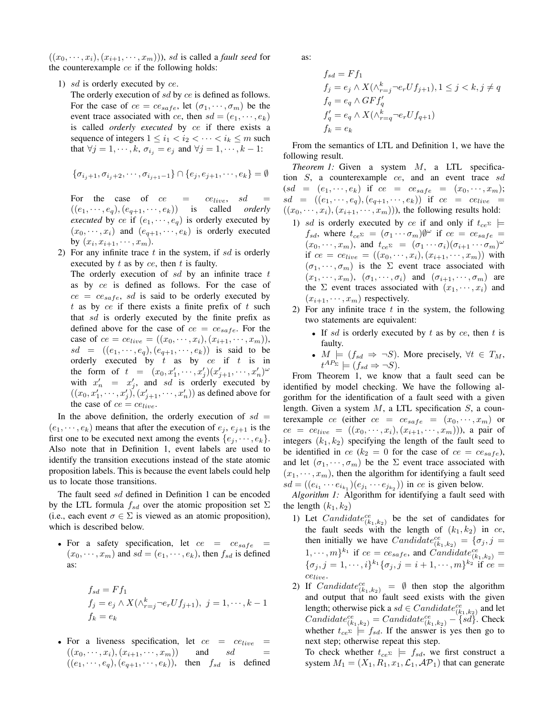$((x_0, \dots, x_i), (x_{i+1}, \dots, x_m)))$ , *sd* is called a *fault seed* for the counterexample ce if the following holds:

1)  $sd$  is orderly executed by  $ce$ .

The orderly execution of sd by ce is defined as follows. For the case of  $ce = ce_{safe}$ , let  $(\sigma_1, \dots, \sigma_m)$  be the event trace associated with ce, then  $sd = (e_1, \dots, e_k)$ is called *orderly executed* by ce if there exists a sequence of integers  $1 \leq i_1 < i_2 < \cdots < i_k \leq m$  such that  $\forall j = 1, \dots, k, \sigma_{i_j} = e_j$  and  $\forall j = 1, \dots, k - 1$ :

$$
\{\sigma_{i_j+1},\sigma_{i_j+2},\cdots,\sigma_{i_{j+1}-1}\}\cap\{e_j,e_{j+1},\cdots,e_k\}=\emptyset
$$

For the case of  $ce = ce_{live}, sd =$  $((e_1, \dots, e_q), (e_{q+1}, \dots, e_k))$  is called *orderly executed* by ce if  $(e_1, \dots, e_q)$  is orderly executed by  $(x_0, \dots, x_i)$  and  $(e_{q+1}, \dots, e_k)$  is orderly executed by  $(x_i, x_{i+1}, \dots, x_m)$ .

2) For any infinite trace  $t$  in the system, if  $sd$  is orderly executed by  $t$  as by  $ce$ , then  $t$  is faulty. The orderly execution of  $sd$  by an infinite trace  $t$ as by ce is defined as follows. For the case of  $ce = ce_{safe}$ , sd is said to be orderly executed by  $t$  as by  $ce$  if there exists a finite prefix of  $t$  such that  $sd$  is orderly executed by the finite prefix as defined above for the case of  $ce = ce_{safe}$ . For the case of  $ce = ce_{live} = ((x_0, \dots, x_i), (x_{i+1}, \dots, x_m)),$  $sd = ((e_1, \dots, e_q), (e_{q+1}, \dots, e_k))$  is said to be orderly executed by  $t$  as by  $ce$  if  $t$  is in the form of  $t = (x_0, x'_1, \dots, x'_j)(x'_{j+1}, \dots, x'_n)^\omega$ 

with  $x'_n = x'_i$ , and sd is orderly executed by  $((x_0, x'_1, \dots, x'_j), (x'_{j+1}, \dots, x'_n))$  as defined above for the case of  $ce = ce_{live}$ .

In the above definition, the orderly execution of  $sd =$  $(e_1, \dots, e_k)$  means that after the execution of  $e_j, e_{j+1}$  is the first one to be executed next among the events  $\{e_i, \dots, e_k\}$ . Also note that in Definition 1, event labels are used to identify the transition executions instead of the state atomic proposition labels. This is because the event labels could help us to locate those transitions.

The fault seed sd defined in Definition 1 can be encoded by the LTL formula  $f_{sd}$  over the atomic proposition set  $\Sigma$ (i.e., each event  $\sigma \in \Sigma$  is viewed as an atomic proposition), which is described below.

• For a safety specification, let  $ce = ce_{safe}$  =  $(x_0, \dots, x_m)$  and  $sd = (e_1, \dots, e_k)$ , then  $f_{sd}$  is defined as:

$$
f_{sd} = Ff_1
$$
  
\n
$$
f_j = e_j \wedge X(\wedge_{r=j}^k \neg e_r U f_{j+1}), \ j = 1, \cdots, k-1
$$
  
\n
$$
f_k = e_k
$$

• For a liveness specification, let  $ce = ce_{live}$  $((x_0, \cdots, x_i), (x_{i+1}, \cdots, x_m))$  and sd =  $((e_1, \dots, e_q), (e_{q+1}, \dots, e_k)),$  then  $f_{sd}$  is defined as:

$$
f_{sd} = Ff_1
$$
  
\n
$$
f_j = e_j \wedge X(\wedge_{r=j}^k \neg e_r U f_{j+1}), 1 \le j < k, j \ne q
$$
  
\n
$$
f_q = e_q \wedge G F f'_q
$$
  
\n
$$
f'_q = e_q \wedge X(\wedge_{r=q}^k \neg e_r U f_{q+1})
$$
  
\n
$$
f_k = e_k
$$

From the semantics of LTL and Definition 1, we have the following result.

*Theorem 1:* Given a system M, a LTL specification  $S$ , a counterexample  $ce$ , and an event trace  $sd$  $(sd = (e_1, \dots, e_k)$  if  $ce = ce_{safe} = (x_0, \dots, x_m);$  $sd = ((e_1, \dots, e_q), (e_{q+1}, \dots, e_k))$  if  $ce = ce_{live}$  $((x_0, \dots, x_i), (x_{i+1}, \dots, x_m)))$ , the following results hold:

- 1) sd is orderly executed by ce if and only if  $t_{ce^{\Sigma}} \models$  $f_{sd}$ , where  $t_{ce^{\Sigma}} = (\sigma_1 \cdots \sigma_m) \emptyset^{\omega}$  if  $ce = ce_{safe}$  $(x_0, \dots, x_m)$ , and  $t_{ce^{\Sigma}} = (\sigma_1 \cdots \sigma_i)(\sigma_{i+1} \cdots \sigma_m)^{\omega}$ if  $ce = ce_{live} = ((x_0, \dots, x_i), (x_{i+1}, \dots, x_m))$  with  $(\sigma_1, \dots, \sigma_m)$  is the  $\Sigma$  event trace associated with  $(x_1, \dots, x_m)$ ,  $(\sigma_1, \dots, \sigma_i)$  and  $(\sigma_{i+1}, \dots, \sigma_m)$  are the  $\Sigma$  event traces associated with  $(x_1, \dots, x_i)$  and  $(x_{i+1}, \dots, x_m)$  respectively.
- 2) For any infinite trace  $t$  in the system, the following two statements are equivalent:
	- If sd is orderly executed by t as by ce, then t is faulty.
	- $M \models (f_{sd} \Rightarrow \neg S)$ . More precisely,  $\forall t \in T_M$ ,  $t^{AP_{\Sigma}} \models (f_{sd} \Rightarrow \neg S).$

From Theorem 1, we know that a fault seed can be identified by model checking. We have the following algorithm for the identification of a fault seed with a given length. Given a system  $M$ , a LTL specification  $S$ , a counterexample ce (either ce =  $ce_{safe}$  =  $(x_0, \dots, x_m)$  or  $ce = ce_{live} = ((x_0, \dots, x_i), (x_{i+1}, \dots, x_m)))$ , a pair of integers  $(k_1, k_2)$  specifying the length of the fault seed to be identified in ce ( $k_2 = 0$  for the case of  $ce = ce_{safe}$ ), and let  $(\sigma_1, \dots, \sigma_m)$  be the  $\Sigma$  event trace associated with  $(x_1, \dots, x_m)$ , then the algorithm for identifying a fault seed  $sd = ((e_{i_1} \cdots e_{i_{k_1}})(e_{j_1} \cdots e_{j_{k_2}}))$  in *ce* is given below.

*Algorithm 1:* Algorithm for identifying a fault seed with the length  $(k_1, k_2)$ 

- 1) Let  $Candidate_{(k_1,k_2)}^{ce}$  be the set of candidates for the fault seeds with the length of  $(k_1, k_2)$  in ce, then initially we have  $Candidate_{(k_1,k_2)}^{ce} = \{\sigma_j, j =$  $(1, \dots, m)^{k_1}$  if  $ce = ce_{safe}$ , and  $\widehat{Candidate}^{ce}_{(k_1, k_2)}$  =  ${\{\sigma_j, j = 1, \cdots, i\}}^{k_1} {\{\sigma_j, j = i + 1, \cdots, m\}}^{k_2}$  if  $ce =$ celive.
- 2) If  $Candidate_{(k_1,k_2)}^{ce} = \emptyset$  then stop the algorithm and output that no fault seed exists with the given length; otherwise pick a  $sd \in Candidate_{(k_1,k_2)}^{ce}$  and let Candidate<sup>ce</sup><sub>(k<sub>1,k2)</sub></sub> = Candidate<sup>ce</sup><sub>(k<sub>1,k2)</sub> – {sd}. Check</sub> whether  $t_{ce^{\Sigma}}$  =  $f_{sd}$ . If the answer is yes then go to next step; otherwise repeat this step.

To check whether  $t_{ce^{\Sigma}}$   $\models$   $f_{sd}$ , we first construct a system  $M_1 = (X_1, R_1, x_1, \mathcal{L}_1, \mathcal{AP}_1)$  that can generate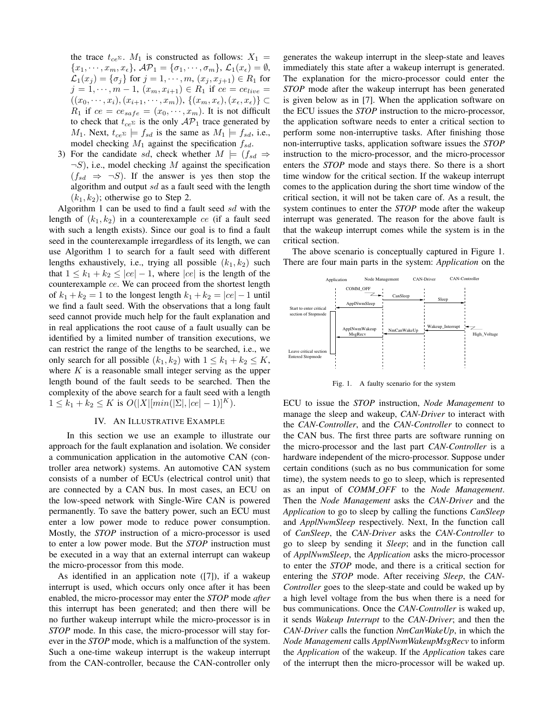the trace  $t_{ce^{\Sigma}}$ .  $M_1$  is constructed as follows:  $X_1 =$  ${x_1, \dots, x_m, x_{\epsilon}}$ ,  $\mathcal{AP}_1 = {\sigma_1, \dots, \sigma_m}$ ,  $\mathcal{L}_1(x_{\epsilon}) = \emptyset$ ,  $\mathcal{L}_1(x_j) = \{\sigma_j\}$  for  $j = 1, \dots, m, (x_j, x_{j+1}) \in R_1$  for  $j = 1, \dots, m - 1, (x_m, x_{i+1}) \in R_1$  if  $ce = ce_{live}$  $((x_0,\dots,x_i),(x_{i+1},\dots,x_m)),\{(x_m,x_\epsilon),(x_\epsilon,x_\epsilon)\}\subset$  $R_1$  if  $ce = ce_{safe} = (x_0, \dots, x_m)$ . It is not difficult to check that  $t_{ce}$  is the only  $AP_1$  trace generated by  $M_1$ . Next,  $t_{ce^{\Sigma}} \models f_{sd}$  is the same as  $M_1 \models f_{sd}$ , i.e., model checking  $M_1$  against the specification  $f_{sd}$ .

3) For the candidate sd, check whether  $M \models (f_{sd} \Rightarrow$  $\neg S$ ), i.e., model checking M against the specification  $(f_{sd} \Rightarrow \neg S)$ . If the answer is yes then stop the algorithm and output  $sd$  as a fault seed with the length  $(k_1, k_2)$ ; otherwise go to Step 2.

Algorithm 1 can be used to find a fault seed sd with the length of  $(k_1, k_2)$  in a counterexample ce (if a fault seed with such a length exists). Since our goal is to find a fault seed in the counterexample irregardless of its length, we can use Algorithm 1 to search for a fault seed with different lengths exhaustively, i.e., trying all possible  $(k_1, k_2)$  such that  $1 \leq k_1 + k_2 \leq |ce| - 1$ , where  $|ce|$  is the length of the counterexample ce. We can proceed from the shortest length of  $k_1 + k_2 = 1$  to the longest length  $k_1 + k_2 = |ce| - 1$  until we find a fault seed. With the observations that a long fault seed cannot provide much help for the fault explanation and in real applications the root cause of a fault usually can be identified by a limited number of transition executions, we can restrict the range of the lengths to be searched, i.e., we only search for all possible  $(k_1, k_2)$  with  $1 \leq k_1 + k_2 \leq K$ , where  $K$  is a reasonable small integer serving as the upper length bound of the fault seeds to be searched. Then the complexity of the above search for a fault seed with a length  $1 \leq k_1 + k_2 \leq K$  is  $O(|X|[\min(|\Sigma|, |\text{ce}|-1)]^K)$ .

## IV. AN ILLUSTRATIVE EXAMPLE

In this section we use an example to illustrate our approach for the fault explanation and isolation. We consider a communication application in the automotive CAN (controller area network) systems. An automotive CAN system consists of a number of ECUs (electrical control unit) that are connected by a CAN bus. In most cases, an ECU on the low-speed network with Single-Wire CAN is powered permanently. To save the battery power, such an ECU must enter a low power mode to reduce power consumption. Mostly, the *STOP* instruction of a micro-processor is used to enter a low power mode. But the *STOP* instruction must be executed in a way that an external interrupt can wakeup the micro-processor from this mode.

As identified in an application note ([7]), if a wakeup interrupt is used, which occurs only once after it has been enabled, the micro-processor may enter the *STOP* mode *after* this interrupt has been generated; and then there will be no further wakeup interrupt while the micro-processor is in *STOP* mode. In this case, the micro-processor will stay forever in the *STOP* mode, which is a malfunction of the system. Such a one-time wakeup interrupt is the wakeup interrupt from the CAN-controller, because the CAN-controller only generates the wakeup interrupt in the sleep-state and leaves immediately this state after a wakeup interrupt is generated. The explanation for the micro-processor could enter the *STOP* mode after the wakeup interrupt has been generated is given below as in [7]. When the application software on the ECU issues the *STOP* instruction to the micro-processor, the application software needs to enter a critical section to perform some non-interruptive tasks. After finishing those non-interruptive tasks, application software issues the *STOP* instruction to the micro-processor, and the micro-processor enters the *STOP* mode and stays there. So there is a short time window for the critical section. If the wakeup interrupt comes to the application during the short time window of the critical section, it will not be taken care of. As a result, the system continues to enter the *STOP* mode after the wakeup interrupt was generated. The reason for the above fault is that the wakeup interrupt comes while the system is in the critical section.

The above scenario is conceptually captured in Figure 1. There are four main parts in the system: *Application* on the



Fig. 1. A faulty scenario for the system

ECU to issue the *STOP* instruction, *Node Management* to manage the sleep and wakeup, *CAN-Driver* to interact with the *CAN-Controller*, and the *CAN-Controller* to connect to the CAN bus. The first three parts are software running on the micro-processor and the last part *CAN-Controller* is a hardware independent of the micro-processor. Suppose under certain conditions (such as no bus communication for some time), the system needs to go to sleep, which is represented as an input of *COMM OFF* to the *Node Management*. Then the *Node Management* asks the *CAN-Driver* and the *Application* to go to sleep by calling the functions *CanSleep* and *ApplNwmSleep* respectively. Next, In the function call of *CanSleep*, the *CAN-Driver* asks the *CAN-Controller* to go to sleep by sending it *Sleep*; and in the function call of *ApplNwmSleep*, the *Application* asks the micro-processor to enter the *STOP* mode, and there is a critical section for entering the *STOP* mode. After receiving *Sleep*, the *CAN-Controller* goes to the sleep-state and could be waked up by a high level voltage from the bus when there is a need for bus communications. Once the *CAN-Controller* is waked up, it sends *Wakeup Interrupt* to the *CAN-Driver*; and then the *CAN-Driver* calls the function *NmCanWakeUp*, in which the *Node Management* calls *ApplNwmWakeupMsgRecv* to inform the *Application* of the wakeup. If the *Application* takes care of the interrupt then the micro-processor will be waked up.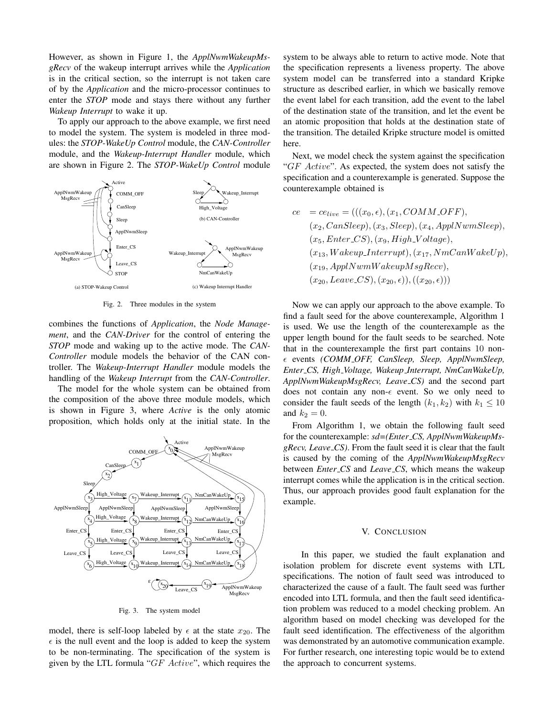However, as shown in Figure 1, the *ApplNwmWakeupMsgRecv* of the wakeup interrupt arrives while the *Application* is in the critical section, so the interrupt is not taken care of by the *Application* and the micro-processor continues to enter the *STOP* mode and stays there without any further *Wakeup Interrupt* to wake it up.

To apply our approach to the above example, we first need to model the system. The system is modeled in three modules: the *STOP-WakeUp Control* module, the *CAN-Controller* module, and the *Wakeup-Interrupt Handler* module, which are shown in Figure 2. The *STOP-WakeUp Control* module



Fig. 2. Three modules in the system

combines the functions of *Application*, the *Node Management*, and the *CAN-Driver* for the control of entering the *STOP* mode and waking up to the active mode. The *CAN-Controller* module models the behavior of the CAN controller. The *Wakeup-Interrupt Handler* module models the handling of the *Wakeup Interrupt* from the *CAN-Controller*.

The model for the whole system can be obtained from the composition of the above three module models, which is shown in Figure 3, where *Active* is the only atomic proposition, which holds only at the initial state. In the



Fig. 3. The system model

model, there is self-loop labeled by  $\epsilon$  at the state  $x_{20}$ . The  $\epsilon$  is the null event and the loop is added to keep the system to be non-terminating. The specification of the system is given by the LTL formula "GF Active", which requires the system to be always able to return to active mode. Note that the specification represents a liveness property. The above system model can be transferred into a standard Kripke structure as described earlier, in which we basically remove the event label for each transition, add the event to the label of the destination state of the transition, and let the event be an atomic proposition that holds at the destination state of the transition. The detailed Kripke structure model is omitted here.

Next, we model check the system against the specification " $GF$   $Active$ ". As expected, the system does not satisfy the specification and a counterexample is generated. Suppose the counterexample obtained is

 $ce = ce_{live} = (((x_0, \epsilon), (x_1, \text{COMM\_OFF}),$  $(x_2, CanSleep), (x_3, Sleep), (x_4, ApplNumSleep),$  $(x_5, Enter\,CS), (x_9, High\, Voltage),$  $(x_{13}, Wakeup\_{Hterrupt}), (x_{17}, NmCanWakeUp),$  $(x_{19}, \text{Appl} Nwm Wakeup MsqRecv),$  $(x_{20}, \text{Leave } CS), (x_{20}, \epsilon), ((x_{20}, \epsilon))$ 

Now we can apply our approach to the above example. To find a fault seed for the above counterexample, Algorithm 1 is used. We use the length of the counterexample as the upper length bound for the fault seeds to be searched. Note that in the counterexample the first part contains 10 non events *(COMM OFF, CanSleep, Sleep, ApplNwmSleep, Enter CS, High Voltage, Wakeup Interrupt, NmCanWakeUp, ApplNwmWakeupMsgRecv, Leave CS)* and the second part does not contain any non- $\epsilon$  event. So we only need to consider the fault seeds of the length  $(k_1, k_2)$  with  $k_1 \leq 10$ and  $k_2 = 0$ .

From Algorithm 1, we obtain the following fault seed for the counterexample: *sd=(Enter CS, ApplNwmWakeupMsgRecv, Leave CS)*. From the fault seed it is clear that the fault is caused by the coming of the *ApplNwmWakeupMsgRecv* between *Enter CS* and *Leave CS*, which means the wakeup interrupt comes while the application is in the critical section. Thus, our approach provides good fault explanation for the example.

#### V. CONCLUSION

In this paper, we studied the fault explanation and isolation problem for discrete event systems with LTL specifications. The notion of fault seed was introduced to characterized the cause of a fault. The fault seed was further encoded into LTL formula, and then the fault seed identification problem was reduced to a model checking problem. An algorithm based on model checking was developed for the fault seed identification. The effectiveness of the algorithm was demonstrated by an automotive communication example. For further research, one interesting topic would be to extend the approach to concurrent systems.